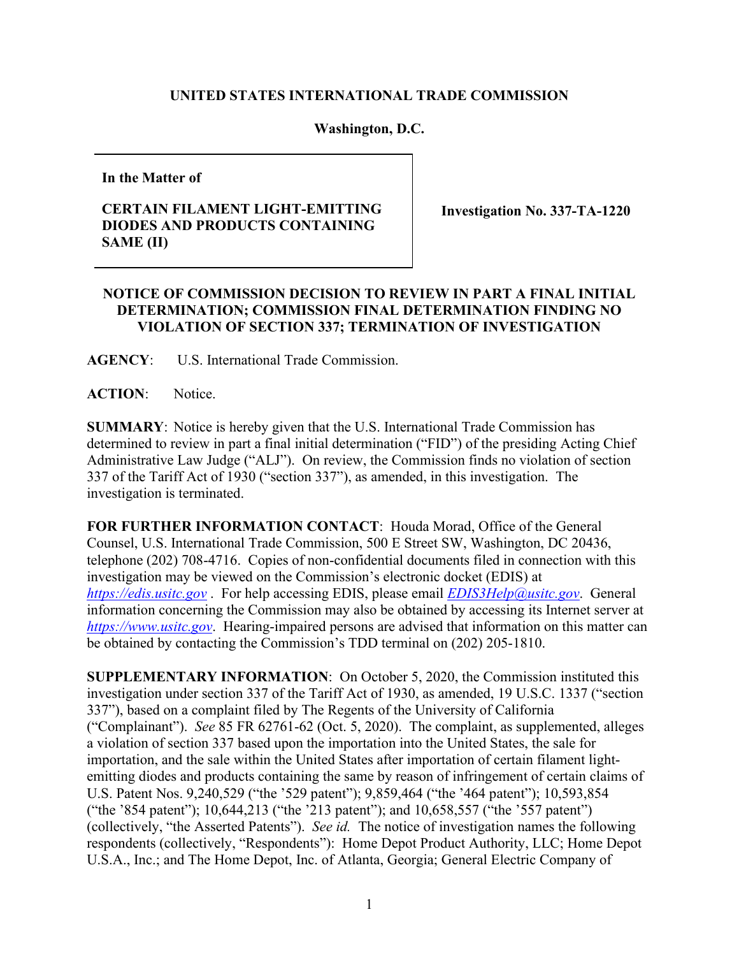## **UNITED STATES INTERNATIONAL TRADE COMMISSION**

## **Washington, D.C.**

**In the Matter of**

## **CERTAIN FILAMENT LIGHT-EMITTING DIODES AND PRODUCTS CONTAINING SAME (II)**

**Investigation No. 337-TA-1220**

## **NOTICE OF COMMISSION DECISION TO REVIEW IN PART A FINAL INITIAL DETERMINATION; COMMISSION FINAL DETERMINATION FINDING NO VIOLATION OF SECTION 337; TERMINATION OF INVESTIGATION**

**AGENCY**: U.S. International Trade Commission.

**ACTION**: Notice.

**SUMMARY**: Notice is hereby given that the U.S. International Trade Commission has determined to review in part a final initial determination ("FID") of the presiding Acting Chief Administrative Law Judge ("ALJ"). On review, the Commission finds no violation of section 337 of the Tariff Act of 1930 ("section 337"), as amended, in this investigation. The investigation is terminated.

**FOR FURTHER INFORMATION CONTACT**: Houda Morad, Office of the General Counsel, U.S. International Trade Commission, 500 E Street SW, Washington, DC 20436, telephone (202) 708-4716. Copies of non-confidential documents filed in connection with this investigation may be viewed on the Commission's electronic docket (EDIS) at *[https://edis.usitc.gov](https://edis.usitc.gov/)* . For help accessing EDIS, please email *[EDIS3Help@usitc.gov](mailto:EDIS3Help@usitc.gov)*. General information concerning the Commission may also be obtained by accessing its Internet server at *[https://www.usitc.gov](https://www.usitc.gov/)*. Hearing-impaired persons are advised that information on this matter can be obtained by contacting the Commission's TDD terminal on (202) 205-1810.

**SUPPLEMENTARY INFORMATION**: On October 5, 2020, the Commission instituted this investigation under section 337 of the Tariff Act of 1930, as amended, 19 U.S.C. 1337 ("section 337"), based on a complaint filed by The Regents of the University of California ("Complainant"). *See* 85 FR 62761-62 (Oct. 5, 2020). The complaint, as supplemented, alleges a violation of section 337 based upon the importation into the United States, the sale for importation, and the sale within the United States after importation of certain filament lightemitting diodes and products containing the same by reason of infringement of certain claims of U.S. Patent Nos. 9,240,529 ("the '529 patent"); 9,859,464 ("the '464 patent"); 10,593,854 ("the '854 patent"); 10,644,213 ("the '213 patent"); and 10,658,557 ("the '557 patent") (collectively, "the Asserted Patents"). *See id.* The notice of investigation names the following respondents (collectively, "Respondents"): Home Depot Product Authority, LLC; Home Depot U.S.A., Inc.; and The Home Depot, Inc. of Atlanta, Georgia; General Electric Company of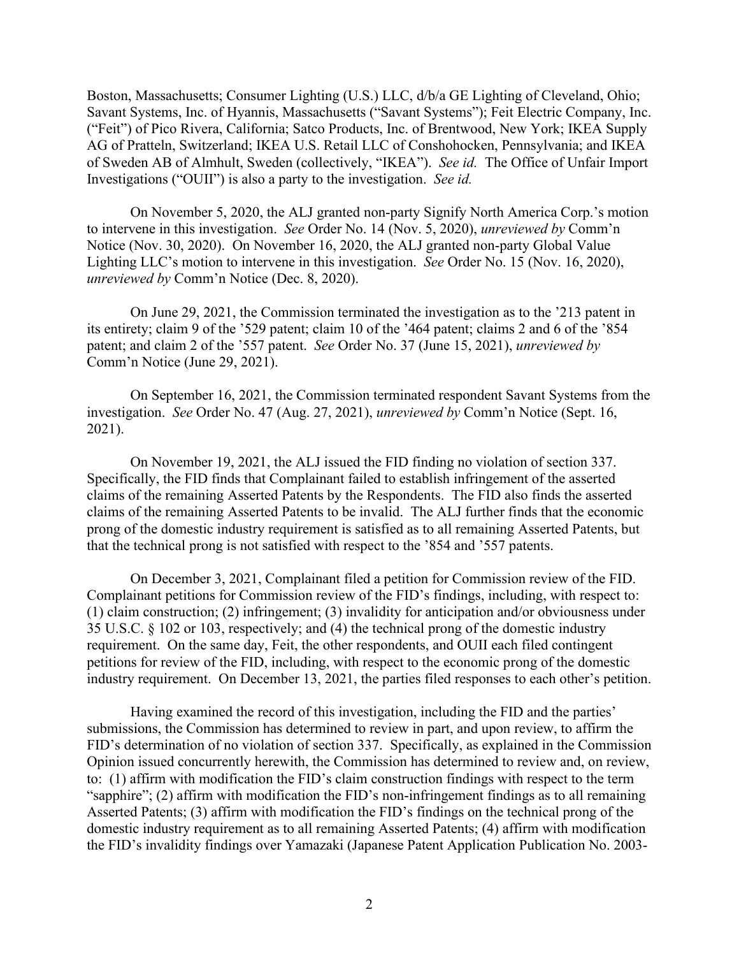Boston, Massachusetts; Consumer Lighting (U.S.) LLC, d/b/a GE Lighting of Cleveland, Ohio; Savant Systems, Inc. of Hyannis, Massachusetts ("Savant Systems"); Feit Electric Company, Inc. ("Feit") of Pico Rivera, California; Satco Products, Inc. of Brentwood, New York; IKEA Supply AG of Pratteln, Switzerland; IKEA U.S. Retail LLC of Conshohocken, Pennsylvania; and IKEA of Sweden AB of Almhult, Sweden (collectively, "IKEA"). *See id.* The Office of Unfair Import Investigations ("OUII") is also a party to the investigation. *See id.* 

On November 5, 2020, the ALJ granted non-party Signify North America Corp.'s motion to intervene in this investigation. *See* Order No. 14 (Nov. 5, 2020), *unreviewed by* Comm'n Notice (Nov. 30, 2020). On November 16, 2020, the ALJ granted non-party Global Value Lighting LLC's motion to intervene in this investigation. *See* Order No. 15 (Nov. 16, 2020), *unreviewed by* Comm'n Notice (Dec. 8, 2020).

On June 29, 2021, the Commission terminated the investigation as to the '213 patent in its entirety; claim 9 of the '529 patent; claim 10 of the '464 patent; claims 2 and 6 of the '854 patent; and claim 2 of the '557 patent. *See* Order No. 37 (June 15, 2021), *unreviewed by* Comm'n Notice (June 29, 2021).

On September 16, 2021, the Commission terminated respondent Savant Systems from the investigation. *See* Order No. 47 (Aug. 27, 2021), *unreviewed by* Comm'n Notice (Sept. 16, 2021).

On November 19, 2021, the ALJ issued the FID finding no violation of section 337. Specifically, the FID finds that Complainant failed to establish infringement of the asserted claims of the remaining Asserted Patents by the Respondents. The FID also finds the asserted claims of the remaining Asserted Patents to be invalid. The ALJ further finds that the economic prong of the domestic industry requirement is satisfied as to all remaining Asserted Patents, but that the technical prong is not satisfied with respect to the '854 and '557 patents.

On December 3, 2021, Complainant filed a petition for Commission review of the FID. Complainant petitions for Commission review of the FID's findings, including, with respect to: (1) claim construction; (2) infringement; (3) invalidity for anticipation and/or obviousness under 35 U.S.C. § 102 or 103, respectively; and (4) the technical prong of the domestic industry requirement. On the same day, Feit, the other respondents, and OUII each filed contingent petitions for review of the FID, including, with respect to the economic prong of the domestic industry requirement. On December 13, 2021, the parties filed responses to each other's petition.

Having examined the record of this investigation, including the FID and the parties' submissions, the Commission has determined to review in part, and upon review, to affirm the FID's determination of no violation of section 337. Specifically, as explained in the Commission Opinion issued concurrently herewith, the Commission has determined to review and, on review, to: (1) affirm with modification the FID's claim construction findings with respect to the term "sapphire"; (2) affirm with modification the FID's non-infringement findings as to all remaining Asserted Patents; (3) affirm with modification the FID's findings on the technical prong of the domestic industry requirement as to all remaining Asserted Patents; (4) affirm with modification the FID's invalidity findings over Yamazaki (Japanese Patent Application Publication No. 2003